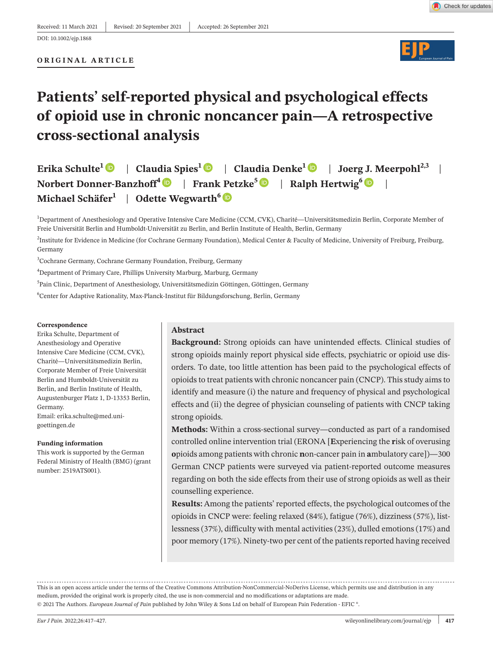#### DOI: 10.1002/ejp.1868

#### **ORIGINAL ARTICLE**



# **Patients' self-reported physical and psychological effects of opioid use in chronic noncancer pain—A retrospective cross-sectional analysis**

**Erika Schulte<sup>[1](https://orcid.org/0000-0002-9393-8537)</sup>**  $\bullet$  **| Claudia Spies<sup>1</sup>**  $\bullet$  **| Claudia Denke<sup>1</sup>**  $\bullet$  **| Joerg J. Meerpohl<sup>2,3</sup> | Norbert Donner-Banzhoff4** | **Frank Petzke[5](https://orcid.org/0000-0003-3265-8889)** | **Ralph Hertwig6** | **Michael Schäfer**<sup>1</sup> | Odette Wegwarth<sup>6</sup>

1 Department of Anesthesiology and Operative Intensive Care Medicine (CCM, CVK), Charité—Universitätsmedizin Berlin, Corporate Member of Freie Universität Berlin and Humboldt-Universität zu Berlin, and Berlin Institute of Health, Berlin, Germany

<sup>2</sup>Institute for Evidence in Medicine (for Cochrane Germany Foundation), Medical Center & Faculty of Medicine, University of Freiburg, Freiburg, Germany

3 Cochrane Germany, Cochrane Germany Foundation, Freiburg, Germany

4 Department of Primary Care, Phillips University Marburg, Marburg, Germany

<sup>5</sup>Pain Clinic, Department of Anesthesiology, Universitätsmedizin Göttingen, Göttingen, Germany

6 Center for Adaptive Rationality, Max-Planck-Institut für Bildungsforschung, Berlin, Germany

#### **Correspondence**

Erika Schulte, Department of Anesthesiology and Operative Intensive Care Medicine (CCM, CVK), Charité—Universitätsmedizin Berlin, Corporate Member of Freie Universität Berlin and Humboldt-Universität zu Berlin, and Berlin Institute of Health, Augustenburger Platz 1, D-13353 Berlin, Germany. Email: [erika.schulte@med.uni-](mailto:erika.schulte@med.uni-goettingen.de)

[goettingen.de](mailto:erika.schulte@med.uni-goettingen.de)

#### **Funding information**

This work is supported by the German Federal Ministry of Health (BMG) (grant number: 2519ATS001).

#### **Abstract**

**Background:** Strong opioids can have unintended effects. Clinical studies of strong opioids mainly report physical side effects, psychiatric or opioid use disorders. To date, too little attention has been paid to the psychological effects of opioids to treat patients with chronic noncancer pain (CNCP). This study aims to identify and measure (i) the nature and frequency of physical and psychological effects and (ii) the degree of physician counseling of patients with CNCP taking strong opioids.

**Methods:** Within a cross-sectional survey—conducted as part of a randomised controlled online intervention trial (ERONA [**E**xperiencing the **r**isk of overusing **o**pioids among patients with chronic **n**on-cancer pain in **a**mbulatory care])—300 German CNCP patients were surveyed via patient-reported outcome measures regarding on both the side effects from their use of strong opioids as well as their counselling experience.

**Results:** Among the patients' reported effects, the psychological outcomes of the opioids in CNCP were: feeling relaxed (84%), fatigue (76%), dizziness (57%), listlessness (37%), difficulty with mental activities (23%), dulled emotions (17%) and poor memory (17%). Ninety-two per cent of the patients reported having received

This is an open access article under the terms of the Creative Commons [Attribution-NonCommercial-NoDerivs](http://creativecommons.org/licenses/by-nc-nd/4.0/) License, which permits use and distribution in any medium, provided the original work is properly cited, the use is non-commercial and no modifications or adaptations are made. © 2021 The Authors. *European Journal of Pain* published by John Wiley & Sons Ltd on behalf of European Pain Federation - EFIC ®.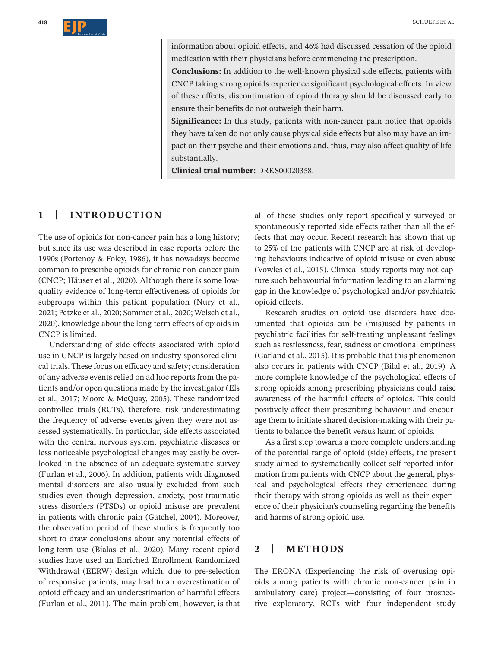information about opioid effects, and 46% had discussed cessation of the opioid medication with their physicians before commencing the prescription.

**Conclusions:** In addition to the well-known physical side effects, patients with CNCP taking strong opioids experience significant psychological effects. In view of these effects, discontinuation of opioid therapy should be discussed early to ensure their benefits do not outweigh their harm.

**Significance:** In this study, patients with non-cancer pain notice that opioids they have taken do not only cause physical side effects but also may have an impact on their psyche and their emotions and, thus, may also affect quality of life substantially.

**Clinical trial number:** DRKS00020358.

# **1** | **INTRODUCTION**

The use of opioids for non-cancer pain has a long history; but since its use was described in case reports before the 1990s (Portenoy & Foley, 1986), it has nowadays become common to prescribe opioids for chronic non-cancer pain (CNCP; Häuser et al., 2020). Although there is some lowquality evidence of long-term effectiveness of opioids for subgroups within this patient population (Nury et al., 2021; Petzke et al., 2020; Sommer et al., 2020; Welsch et al., 2020), knowledge about the long-term effects of opioids in CNCP is limited.

Understanding of side effects associated with opioid use in CNCP is largely based on industry-sponsored clinical trials. These focus on efficacy and safety; consideration of any adverse events relied on ad hoc reports from the patients and/or open questions made by the investigator (Els et al., 2017; Moore & McQuay, 2005). These randomized controlled trials (RCTs), therefore, risk underestimating the frequency of adverse events given they were not assessed systematically. In particular, side effects associated with the central nervous system, psychiatric diseases or less noticeable psychological changes may easily be overlooked in the absence of an adequate systematic survey (Furlan et al., 2006). In addition, patients with diagnosed mental disorders are also usually excluded from such studies even though depression, anxiety, post-traumatic stress disorders (PTSDs) or opioid misuse are prevalent in patients with chronic pain (Gatchel, 2004). Moreover, the observation period of these studies is frequently too short to draw conclusions about any potential effects of long-term use (Bialas et al., 2020). Many recent opioid studies have used an Enriched Enrollment Randomized Withdrawal (EERW) design which, due to pre-selection of responsive patients, may lead to an overestimation of opioid efficacy and an underestimation of harmful effects (Furlan et al., 2011). The main problem, however, is that

all of these studies only report specifically surveyed or spontaneously reported side effects rather than all the effects that may occur. Recent research has shown that up to 25% of the patients with CNCP are at risk of developing behaviours indicative of opioid misuse or even abuse (Vowles et al., 2015). Clinical study reports may not capture such behavourial information leading to an alarming gap in the knowledge of psychological and/or psychiatric opioid effects.

Research studies on opioid use disorders have documented that opioids can be (mis)used by patients in psychiatric facilities for self-treating unpleasant feelings such as restlessness, fear, sadness or emotional emptiness (Garland et al., 2015). It is probable that this phenomenon also occurs in patients with CNCP (Bilal et al., 2019). A more complete knowledge of the psychological effects of strong opioids among prescribing physicians could raise awareness of the harmful effects of opioids. This could positively affect their prescribing behaviour and encourage them to initiate shared decision-making with their patients to balance the benefit versus harm of opioids.

As a first step towards a more complete understanding of the potential range of opioid (side) effects, the present study aimed to systematically collect self-reported information from patients with CNCP about the general, physical and psychological effects they experienced during their therapy with strong opioids as well as their experience of their physician's counseling regarding the benefits and harms of strong opioid use.

# **2** | **METHODS**

The ERONA (**E**xperiencing the **r**isk of overusing **o**pioids among patients with chronic **n**on-cancer pain in **a**mbulatory care) project—consisting of four prospective exploratory, RCTs with four independent study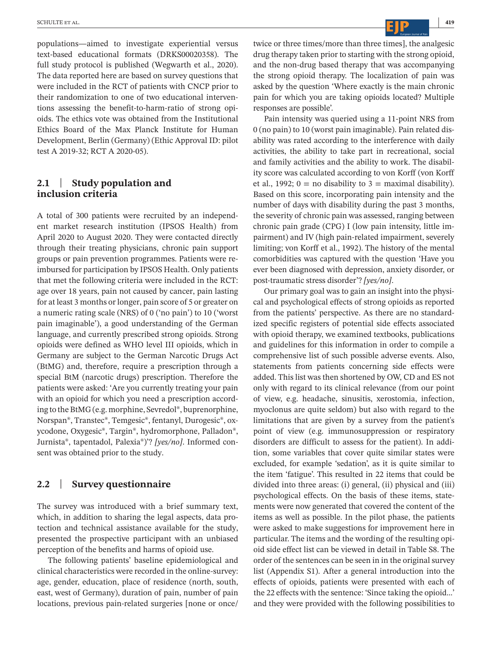populations—aimed to investigate experiential versus text-based educational formats (DRKS00020358). The full study protocol is published (Wegwarth et al., 2020). The data reported here are based on survey questions that were included in the RCT of patients with CNCP prior to their randomization to one of two educational interventions assessing the benefit-to-harm-ratio of strong opioids. The ethics vote was obtained from the Institutional Ethics Board of the Max Planck Institute for Human Development, Berlin (Germany) (Ethic Approval ID: pilot test A 2019-32; RCT A 2020-05).

# **2.1** | **Study population and inclusion criteria**

A total of 300 patients were recruited by an independent market research institution (IPSOS Health) from April 2020 to August 2020. They were contacted directly through their treating physicians, chronic pain support groups or pain prevention programmes. Patients were reimbursed for participation by IPSOS Health. Only patients that met the following criteria were included in the RCT: age over 18 years, pain not caused by cancer, pain lasting for at least 3 months or longer, pain score of 5 or greater on a numeric rating scale (NRS) of 0 ('no pain') to 10 ('worst pain imaginable'), a good understanding of the German language, and currently prescribed strong opioids. Strong opioids were defined as WHO level III opioids, which in Germany are subject to the German Narcotic Drugs Act (BtMG) and, therefore, require a prescription through a special BtM (narcotic drugs) prescription. Therefore the patients were asked: 'Are you currently treating your pain with an opioid for which you need a prescription according to theBtMG (e.g. morphine, Sevredol®, buprenorphine, Norspan®, Transtec®, Temgesic®, fentanyl, Durogesic®, oxycodone, Oxygesic®, Targin®, hydromorphone, Palladon®, Jurnista®, tapentadol, Palexia®)'? *[yes/no]*. Informed consent was obtained prior to the study.

#### **2.2** | **Survey questionnaire**

The survey was introduced with a brief summary text, which, in addition to sharing the legal aspects, data protection and technical assistance available for the study, presented the prospective participant with an unbiased perception of the benefits and harms of opioid use.

The following patients' baseline epidemiological and clinical characteristics were recorded in the online-survey: age, gender, education, place of residence (north, south, east, west of Germany), duration of pain, number of pain locations, previous pain-related surgeries [none or once/ twice or three times/more than three times], the analgesic drug therapy taken prior to starting with the strong opioid, and the non-drug based therapy that was accompanying the strong opioid therapy. The localization of pain was asked by the question 'Where exactly is the main chronic pain for which you are taking opioids located? Multiple responses are possible'.

Pain intensity was queried using a 11-point NRS from 0 (no pain) to 10 (worst pain imaginable). Pain related disability was rated according to the interference with daily activities, the ability to take part in recreational, social and family activities and the ability to work. The disability score was calculated according to von Korff (von Korff et al., 1992;  $0 =$  no disability to  $3 =$  maximal disability). Based on this score, incorporating pain intensity and the number of days with disability during the past 3 months, the severity of chronic pain was assessed, ranging between chronic pain grade (CPG) I (low pain intensity, little impairment) and IV (high pain-related impairment, severely limiting; von Korff et al., 1992). The history of the mental comorbidities was captured with the question 'Have you ever been diagnosed with depression, anxiety disorder, or post-traumatic stress disorder'? *[yes/no]*.

Our primary goal was to gain an insight into the physical and psychological effects of strong opioids as reported from the patients' perspective. As there are no standardized specific registers of potential side effects associated with opioid therapy, we examined textbooks, publications and guidelines for this information in order to compile a comprehensive list of such possible adverse events. Also, statements from patients concerning side effects were added. This list was then shortened by OW, CD and ES not only with regard to its clinical relevance (from our point of view, e.g. headache, sinusitis, xerostomia, infection, myoclonus are quite seldom) but also with regard to the limitations that are given by a survey from the patient's point of view (e.g. immunosuppression or respiratory disorders are difficult to assess for the patient). In addition, some variables that cover quite similar states were excluded, for example 'sedation', as it is quite similar to the item 'fatigue'. This resulted in 22 items that could be divided into three areas: (i) general, (ii) physical and (iii) psychological effects. On the basis of these items, statements were now generated that covered the content of the items as well as possible. In the pilot phase, the patients were asked to make suggestions for improvement here in particular. The items and the wording of the resulting opioid side effect list can be viewed in detail in Table S8. The order of the sentences can be seen in in the original survey list (Appendix S1). After a general introduction into the effects of opioids, patients were presented with each of the 22 effects with the sentence: 'Since taking the opioid…' and they were provided with the following possibilities to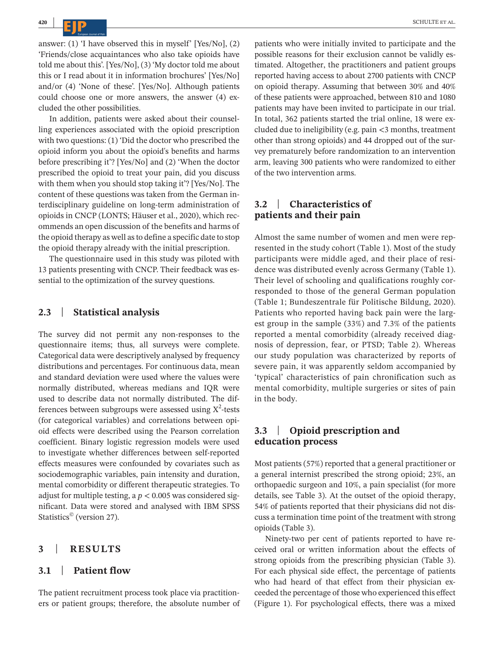answer: (1) 'I have observed this in myself' [Yes/No], (2) 'Friends/close acquaintances who also take opioids have told me about this'. [Yes/No], (3) 'My doctor told me about this or I read about it in information brochures' [Yes/No] and/or (4) 'None of these'. [Yes/No]. Although patients could choose one or more answers, the answer (4) excluded the other possibilities.

In addition, patients were asked about their counselling experiences associated with the opioid prescription with two questions: (1) 'Did the doctor who prescribed the opioid inform you about the opioid's benefits and harms before prescribing it'? [Yes/No] and (2) 'When the doctor prescribed the opioid to treat your pain, did you discuss with them when you should stop taking it'? [Yes/No]. The content of these questions was taken from the German interdisciplinary guideline on long-term administration of opioids in CNCP (LONTS; Häuser et al., 2020), which recommends an open discussion of the benefits and harms of the opioid therapy as well asto define a specific date to stop the opioid therapy already with the initial prescription.

The questionnaire used in this study was piloted with 13 patients presenting with CNCP. Their feedback was essential to the optimization of the survey questions.

#### **2.3** | **Statistical analysis**

The survey did not permit any non-responses to the questionnaire items; thus, all surveys were complete. Categorical data were descriptively analysed by frequency distributions and percentages. For continuous data, mean and standard deviation were used where the values were normally distributed, whereas medians and IQR were used to describe data not normally distributed. The differences between subgroups were assessed using  $X^2$ -tests (for categorical variables) and correlations between opioid effects were described using the Pearson correlation coefficient. Binary logistic regression models were used to investigate whether differences between self-reported effects measures were confounded by covariates such as sociodemographic variables, pain intensity and duration, mental comorbidity or different therapeutic strategies. To adjust for multiple testing, a *p* < 0.005 was considered significant. Data were stored and analysed with IBM SPSS Statistics<sup>©</sup> (version 27).

## **3** | **RESULTS**

## **3.1** | **Patient flow**

The patient recruitment process took place via practitioners or patient groups; therefore, the absolute number of

patients who were initially invited to participate and the possible reasons for their exclusion cannot be validly estimated. Altogether, the practitioners and patient groups reported having access to about 2700 patients with CNCP on opioid therapy. Assuming that between 30% and 40% of these patients were approached, between 810 and 1080 patients may have been invited to participate in our trial. In total, 362 patients started the trial online, 18 were excluded due to ineligibility (e.g. pain <3 months, treatment other than strong opioids) and 44 dropped out of the survey prematurely before randomization to an intervention arm, leaving 300 patients who were randomized to either of the two intervention arms.

# **3.2** | **Characteristics of patients and their pain**

Almost the same number of women and men were represented in the study cohort (Table 1). Most of the study participants were middle aged, and their place of residence was distributed evenly across Germany (Table 1). Their level of schooling and qualifications roughly corresponded to those of the general German population (Table 1; Bundeszentrale für Politische Bildung, 2020). Patients who reported having back pain were the largest group in the sample (33%) and 7.3% of the patients reported a mental comorbidity (already received diagnosis of depression, fear, or PTSD; Table 2). Whereas our study population was characterized by reports of severe pain, it was apparently seldom accompanied by 'typical' characteristics of pain chronification such as mental comorbidity, multiple surgeries or sites of pain in the body.

### **3.3** | **Opioid prescription and education process**

Most patients (57%) reported that a general practitioner or a general internist prescribed the strong opioid; 23%, an orthopaedic surgeon and 10%, a pain specialist (for more details, see Table 3). At the outset of the opioid therapy, 54% of patients reported that their physicians did not discuss a termination time point of the treatment with strong opioids (Table 3).

Ninety-two per cent of patients reported to have received oral or written information about the effects of strong opioids from the prescribing physician (Table 3). For each physical side effect, the percentage of patients who had heard of that effect from their physician exceeded the percentage of those who experienced this effect (Figure 1). For psychological effects, there was a mixed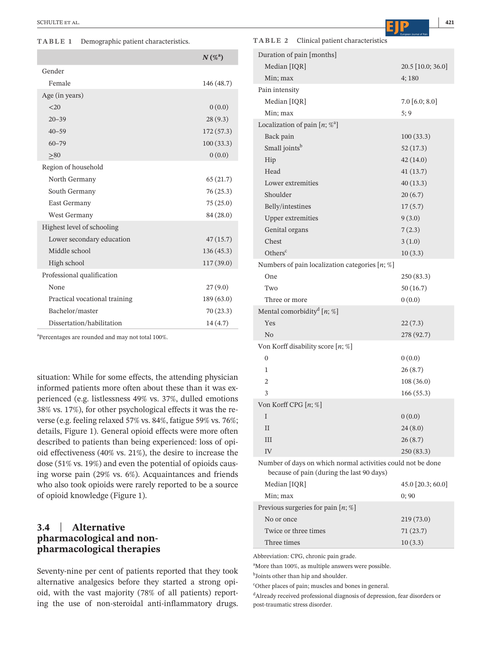#### **TABLE 1** Demographic patient characteristics.

|                               | $N(\%^{a})$ |
|-------------------------------|-------------|
| Gender                        |             |
| Female                        | 146 (48.7)  |
| Age (in years)                |             |
| <20                           | 0(0.0)      |
| $20 - 39$                     | 28(9.3)     |
| $40 - 59$                     | 172(57.3)   |
| $60 - 79$                     | 100(33.3)   |
| > 80                          | 0(0.0)      |
| Region of household           |             |
| North Germany                 | 65(21.7)    |
| South Germany                 | 76(25.3)    |
| East Germany                  | 75(25.0)    |
| West Germany                  | 84 (28.0)   |
| Highest level of schooling    |             |
| Lower secondary education     | 47(15.7)    |
| Middle school                 | 136(45.3)   |
| High school                   | 117(39.0)   |
| Professional qualification    |             |
| None                          | 27(9.0)     |
| Practical vocational training | 189(63.0)   |
| Bachelor/master               | 70(23.3)    |
| Dissertation/habilitation     | 14(4.7)     |

a Percentages are rounded and may not total 100%.

situation: While for some effects, the attending physician informed patients more often about these than it was experienced (e.g. listlessness 49% vs. 37%, dulled emotions 38% vs. 17%), for other psychological effects it was the reverse (e.g. feeling relaxed 57% vs. 84%, fatigue 59% vs. 76%; details, Figure 1). General opioid effects were more often described to patients than being experienced: loss of opioid effectiveness (40% vs. 21%), the desire to increase the dose (51% vs. 19%) and even the potential of opioids causing worse pain (29% vs. 6%). Acquaintances and friends who also took opioids were rarely reported to be a source of opioid knowledge (Figure 1).

# **3.4** | **Alternative pharmacological and nonpharmacological therapies**

Seventy-nine per cent of patients reported that they took alternative analgesics before they started a strong opioid, with the vast majority (78% of all patients) reporting the use of non-steroidal anti-inflammatory drugs. **TABLE 2** Clinical patient characteristics

| Duration of pain [months]                                                                                |                   |
|----------------------------------------------------------------------------------------------------------|-------------------|
| Median [IQR]                                                                                             | 20.5 [10.0; 36.0] |
| Min; max                                                                                                 | 4;180             |
| Pain intensity                                                                                           |                   |
| Median [IQR]                                                                                             | $7.0\;[6.0; 8.0]$ |
| Min; max                                                                                                 | 5; 9              |
| Localization of pain $[n; \mathcal{C}^a]$                                                                |                   |
| Back pain                                                                                                | 100(33.3)         |
| Small joints <sup>b</sup>                                                                                | 52(17.3)          |
| Hip                                                                                                      | 42(14.0)          |
| Head                                                                                                     | 41(13.7)          |
| Lower extremities                                                                                        | 40(13.3)          |
| Shoulder                                                                                                 | 20(6.7)           |
| Belly/intestines                                                                                         | 17(5.7)           |
| <b>Upper extremities</b>                                                                                 | 9(3.0)            |
| Genital organs                                                                                           | 7(2.3)            |
| Chest                                                                                                    | 3(1.0)            |
| Others <sup>c</sup>                                                                                      | 10(3.3)           |
| Numbers of pain localization categories $[n; \%]$                                                        |                   |
| One                                                                                                      | 250(83.3)         |
| Two                                                                                                      | 50 (16.7)         |
| Three or more                                                                                            | 0(0.0)            |
| Mental comorbidity <sup>d</sup> [n; %]                                                                   |                   |
| Yes                                                                                                      | 22(7.3)           |
| N <sub>0</sub>                                                                                           | 278 (92.7)        |
| Von Korff disability score $[n; \%]$                                                                     |                   |
| 0                                                                                                        | 0(0.0)            |
| 1                                                                                                        | 26(8.7)           |
| $\overline{2}$                                                                                           | 108 (36.0)        |
| 3                                                                                                        | 166(55.3)         |
| Von Korff CPG [n; %]                                                                                     |                   |
| I                                                                                                        | 0(0.0)            |
| $_{\rm II}$                                                                                              | 24(8.0)           |
| Ш                                                                                                        | 26(8.7)           |
| IV                                                                                                       | 250 (83.3)        |
| Number of days on which normal activities could not be done<br>because of pain (during the last 90 days) |                   |
| Median [IQR]                                                                                             | 45.0 [20.3; 60.0] |
| Min: max                                                                                                 | 0;90              |
| Previous surgeries for pain $[n; \%]$                                                                    |                   |
| No or once                                                                                               | 219 (73.0)        |
| Twice or three times                                                                                     | 71(23.7)          |
| Three times                                                                                              | 10(3.3)           |

Abbreviation: CPG, chronic pain grade.

a More than 100%, as multiple answers were possible.

<sup>b</sup>Joints other than hip and shoulder.

<sup>c</sup>Other places of pain; muscles and bones in general.

<sup>d</sup>Already received professional diagnosis of depression, fear disorders or post-traumatic stress disorder.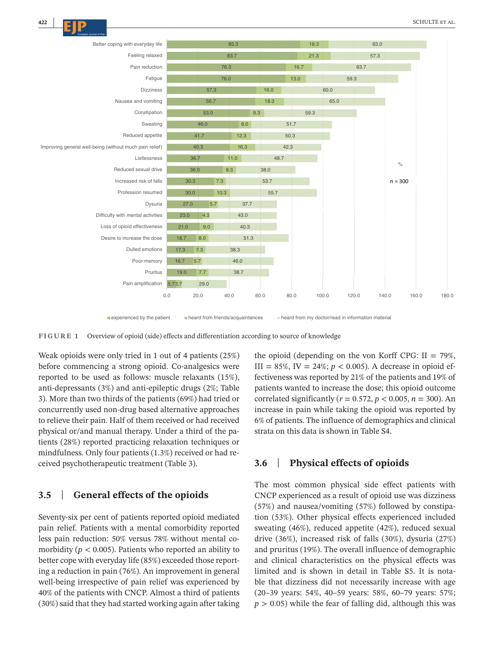

**Experienced by the patient heard from friends/acquaintances heard from my doctor/read in information material** 

**FIGURE 1** Overview of opioid (side) effects and differentiation according to source of knowledge

Weak opioids were only tried in 1 out of 4 patients (25%) before commencing a strong opioid. Co-analgesics were reported to be used as follows: muscle relaxants (15%), anti-depressants (3%) and anti-epileptic drugs (2%; Table 3). More than two thirds of the patients (69%) had tried or concurrently used non-drug based alternative approaches to relieve their pain. Half of them received or had received physical or/and manual therapy. Under a third of the patients (28%) reported practicing relaxation techniques or mindfulness. Only four patients (1.3%) received or had received psychotherapeutic treatment (Table 3).

# **3.5** | **General effects of the opioids**

Seventy-six per cent of patients reported opioid mediated pain relief. Patients with a mental comorbidity reported less pain reduction: 50% versus 78% without mental comorbidity ( $p < 0.005$ ). Patients who reported an ability to better cope with everyday life (85%) exceeded those reporting a reduction in pain (76%). An improvement in general well-being irrespective of pain relief was experienced by 40% of the patients with CNCP. Almost a third of patients (30%) said that they had started working again after taking the opioid (depending on the von Korff CPG:  $II = 79\%$ , III = 85%, IV = 24%;  $p < 0.005$ ). A decrease in opioid effectiveness was reported by 21% of the patients and 19% of patients wanted to increase the dose; this opioid outcome correlated significantly ( $r = 0.572$ ,  $p < 0.005$ ,  $n = 300$ ). An increase in pain while taking the opioid was reported by 6% of patients. The influence of demographics and clinical strata on this data is shown in Table S4.

# **3.6** | **Physical effects of opioids**

The most common physical side effect patients with CNCP experienced as a result of opioid use was dizziness (57%) and nausea/vomiting (57%) followed by constipation (53%). Other physical effects experienced included sweating (46%), reduced appetite (42%), reduced sexual drive (36%), increased risk of falls (30%), dysuria (27%) and pruritus (19%). The overall influence of demographic and clinical characteristics on the physical effects was limited and is shown in detail in Table S5. It is notable that dizziness did not necessarily increase with age (20–39 years: 54%, 40–59 years: 58%, 60–79 years: 57%;  $p > 0.05$ ) while the fear of falling did, although this was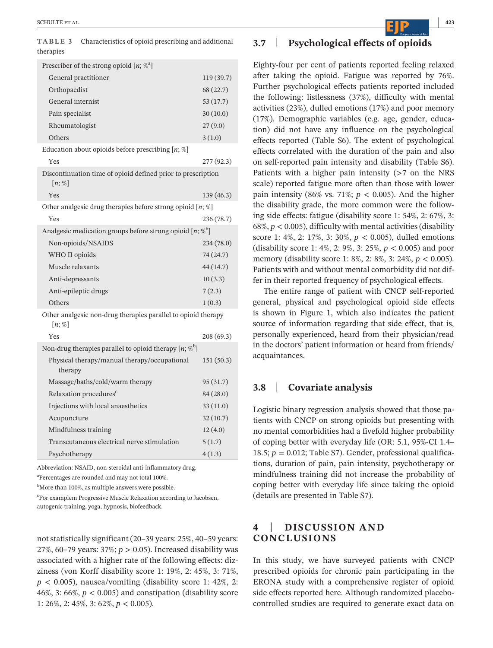**TABLE 3** Characteristics of opioid prescribing and additional therapies

| Prescriber of the strong opioid $[n; \mathcal{C}^a]$                      |            |  |
|---------------------------------------------------------------------------|------------|--|
| General practitioner                                                      | 119 (39.7) |  |
| Orthopaedist                                                              | 68 (22.7)  |  |
| General internist                                                         | 53(17.7)   |  |
| Pain specialist                                                           | 30(10.0)   |  |
| Rheumatologist                                                            | 27(9.0)    |  |
| Others                                                                    | 3(1.0)     |  |
| Education about opioids before prescribing $[n; \%]$                      |            |  |
| Yes                                                                       | 277 (92.3) |  |
| Discontinuation time of opioid defined prior to prescription<br>$[n; \%]$ |            |  |
| Yes                                                                       | 139 (46.3) |  |
| Other analgesic drug therapies before strong opioid $[n; \%]$             |            |  |
| Yes                                                                       | 236 (78.7) |  |
| Analgesic medication groups before strong opioid $[n; \%$                 |            |  |
| Non-opioids/NSAIDS                                                        | 234 (78.0) |  |
| WHO II opioids                                                            | 74 (24.7)  |  |
| Muscle relaxants                                                          | 44 (14.7)  |  |
| Anti-depressants                                                          | 10(3.3)    |  |
| Anti-epileptic drugs                                                      | 7(2.3)     |  |
| Others                                                                    | 1(0.3)     |  |
| Other analgesic non-drug therapies parallel to opioid therapy<br>$[n;\%]$ |            |  |
| Yes                                                                       | 208 (69.3) |  |
| Non-drug therapies parallel to opioid therapy $[n; \%$ <sup>b</sup> ]     |            |  |
| Physical therapy/manual therapy/occupational<br>therapy                   | 151(50.3)  |  |
| Massage/baths/cold/warm therapy                                           | 95 (31.7)  |  |
| Relaxation procedures <sup>c</sup>                                        | 84 (28.0)  |  |
| Injections with local anaesthetics                                        | 33(11.0)   |  |
| Acupuncture                                                               | 32(10.7)   |  |
| Mindfulness training                                                      | 12(4.0)    |  |
| Transcutaneous electrical nerve stimulation                               | 5(1.7)     |  |
| Psychotherapy                                                             | 4(1.3)     |  |
|                                                                           |            |  |

Abbreviation: NSAID, non-steroidal anti-inflammatory drug.

<sup>a</sup>Percentages are rounded and may not total 100%.

 $^{\rm b}$ More than 100%, as multiple answers were possible.

<sup>c</sup>For examplem Progressive Muscle Relaxation according to Jacobsen, autogenic training, yoga, hypnosis, biofeedback.

not statistically significant (20–39 years: 25%, 40–59 years: 27%, 60–79 years: 37%; *p* > 0.05). Increased disability was associated with a higher rate of the following effects: dizziness (von Korff disability score 1: 19%, 2: 45%, 3: 71%,  $p < 0.005$ ), nausea/vomiting (disability score 1: 42%, 2: 46%, 3: 66%,  $p < 0.005$ ) and constipation (disability score 1: 26%, 2: 45%, 3: 62%, *p* < 0.005).

# **3.7** | **Psychological effects of opioids**

Eighty-four per cent of patients reported feeling relaxed after taking the opioid. Fatigue was reported by 76%. Further psychological effects patients reported included the following: listlessness (37%), difficulty with mental activities (23%), dulled emotions (17%) and poor memory (17%). Demographic variables (e.g. age, gender, education) did not have any influence on the psychological effects reported (Table S6). The extent of psychological effects correlated with the duration of the pain and also on self-reported pain intensity and disability (Table S6). Patients with a higher pain intensity (>7 on the NRS scale) reported fatigue more often than those with lower pain intensity (86% vs. 71%;  $p < 0.005$ ). And the higher the disability grade, the more common were the following side effects: fatigue (disability score 1: 54%, 2: 67%, 3: 68%,  $p < 0.005$ ), difficulty with mental activities (disability score 1: 4%, 2: 17%, 3: 30%, *p* < 0.005), dulled emotions (disability score 1: 4%, 2: 9%, 3: 25%, *p* < 0.005) and poor memory (disability score 1: 8%, 2: 8%, 3: 24%, *p* < 0.005). Patients with and without mental comorbidity did not differ in their reported frequency of psychological effects.

The entire range of patient with CNCP self-reported general, physical and psychological opioid side effects is shown in Figure 1, which also indicates the patient source of information regarding that side effect, that is, personally experienced, heard from their physician/read in the doctors' patient information or heard from friends/ acquaintances.

## **3.8** | **Covariate analysis**

Logistic binary regression analysis showed that those patients with CNCP on strong opioids but presenting with no mental comorbidities had a fivefold higher probability of coping better with everyday life (OR: 5.1, 95%-CI 1.4– 18.5;  $p = 0.012$ ; Table S7). Gender, professional qualifications, duration of pain, pain intensity, psychotherapy or mindfulness training did not increase the probability of coping better with everyday life since taking the opioid (details are presented in Table S7).

# **4** | **DISCUSSION AND CONCLUSIONS**

In this study, we have surveyed patients with CNCP prescribed opioids for chronic pain participating in the ERONA study with a comprehensive register of opioid side effects reported here. Although randomized placebocontrolled studies are required to generate exact data on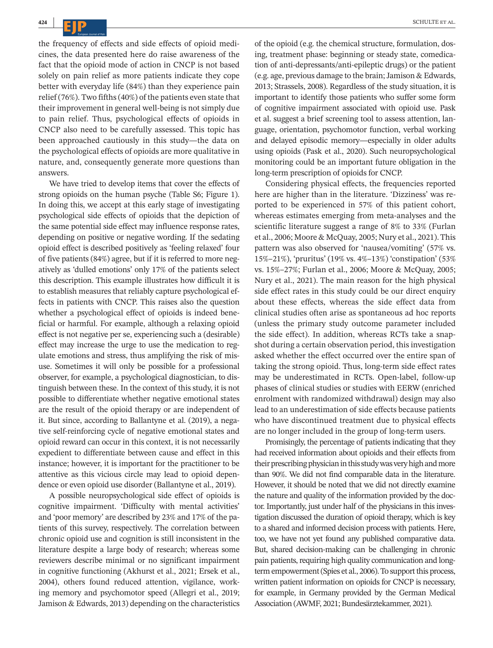the frequency of effects and side effects of opioid medicines, the data presented here do raise awareness of the fact that the opioid mode of action in CNCP is not based solely on pain relief as more patients indicate they cope better with everyday life (84%) than they experience pain relief (76%). Two fifths(40%) of the patients even state that their improvement in general well-being is not simply due to pain relief. Thus, psychological effects of opioids in CNCP also need to be carefully assessed. This topic has been approached cautiously in this study—the data on the psychological effects of opioids are more qualitative in nature, and, consequently generate more questions than answers.

We have tried to develop items that cover the effects of strong opioids on the human psyche (Table S6; Figure 1). In doing this, we accept at this early stage of investigating psychological side effects of opioids that the depiction of the same potential side effect may influence response rates, depending on positive or negative wording. If the sedating opioid effect is described positively as 'feeling relaxed' four of five patients (84%) agree, but if it is referred to more negatively as 'dulled emotions' only 17% of the patients select this description. This example illustrates how difficult it is to establish measures that reliably capture psychological effects in patients with CNCP. This raises also the question whether a psychological effect of opioids is indeed beneficial or harmful. For example, although a relaxing opioid effect is not negative per se, experiencing such a (desirable) effect may increase the urge to use the medication to regulate emotions and stress, thus amplifying the risk of misuse. Sometimes it will only be possible for a professional observer, for example, a psychological diagnostician, to distinguish between these. In the context of this study, it is not possible to differentiate whether negative emotional states are the result of the opioid therapy or are independent of it. But since, according to Ballantyne et al. (2019), a negative self-reinforcing cycle of negative emotional states and opioid reward can occur in this context, it is not necessarily expedient to differentiate between cause and effect in this instance; however, it is important for the practitioner to be attentive as this vicious circle may lead to opioid dependence or even opioid use disorder (Ballantyne et al., 2019).

A possible neuropsychological side effect of opioids is cognitive impairment. 'Difficulty with mental activities' and 'poor memory' are described by 23% and 17% of the patients of this survey, respectively. The correlation between chronic opioid use and cognition is still inconsistent in the literature despite a large body of research; whereas some reviewers describe minimal or no significant impairment in cognitive functioning (Akhurst et al., 2021; Ersek et al., 2004), others found reduced attention, vigilance, working memory and psychomotor speed (Allegri et al., 2019; Jamison & Edwards, 2013) depending on the characteristics

of the opioid (e.g. the chemical structure, formulation, dosing, treatment phase: beginning or steady state, comedication of anti-depressants/anti-epileptic drugs) or the patient (e.g. age, previous damage to the brain; Jamison & Edwards, 2013; Strassels, 2008). Regardless of the study situation, it is important to identify those patients who suffer some form of cognitive impairment associated with opioid use. Pask et al. suggest a brief screening tool to assess attention, language, orientation, psychomotor function, verbal working and delayed episodic memory—especially in older adults using opioids (Pask et al., 2020). Such neuropsychological monitoring could be an important future obligation in the long-term prescription of opioids for CNCP.

Considering physical effects, the frequencies reported here are higher than in the literature. 'Dizziness' was reported to be experienced in 57% of this patient cohort, whereas estimates emerging from meta-analyses and the scientific literature suggest a range of 8% to 33% (Furlan et al., 2006; Moore & McQuay, 2005; Nury et al., 2021). This pattern was also observed for 'nausea/vomiting' (57% vs. 15%–21%), 'pruritus' (19% vs. 4%–13%) 'constipation' (53% vs. 15%–27%; Furlan et al., 2006; Moore & McQuay, 2005; Nury et al., 2021). The main reason for the high physical side effect rates in this study could be our direct enquiry about these effects, whereas the side effect data from clinical studies often arise as spontaneous ad hoc reports (unless the primary study outcome parameter included the side effect). In addition, whereas RCTs take a snapshot during a certain observation period, this investigation asked whether the effect occurred over the entire span of taking the strong opioid. Thus, long-term side effect rates may be underestimated in RCTs. Open-label, follow-up phases of clinical studies or studies with EERW (enriched enrolment with randomized withdrawal) design may also lead to an underestimation of side effects because patients who have discontinued treatment due to physical effects are no longer included in the group of long-term users.

Promisingly, the percentage of patients indicating that they had received information about opioids and their effects from their prescribing physician in this study was very high and more than 90%. We did not find comparable data in the literature. However, it should be noted that we did not directly examine the nature and quality of the information provided by the doctor. Importantly, just under half of the physicians in this investigation discussed the duration of opioid therapy, which is key to a shared and informed decision process with patients. Here, too, we have not yet found any published comparative data. But, shared decision-making can be challenging in chronic pain patients, requiring high quality communication and longterm empowerment (Spies et al., 2006). To support this process, written patient information on opioids for CNCP is necessary, for example, in Germany provided by the German Medical Association (AWMF, 2021; Bundesärztekammer, 2021).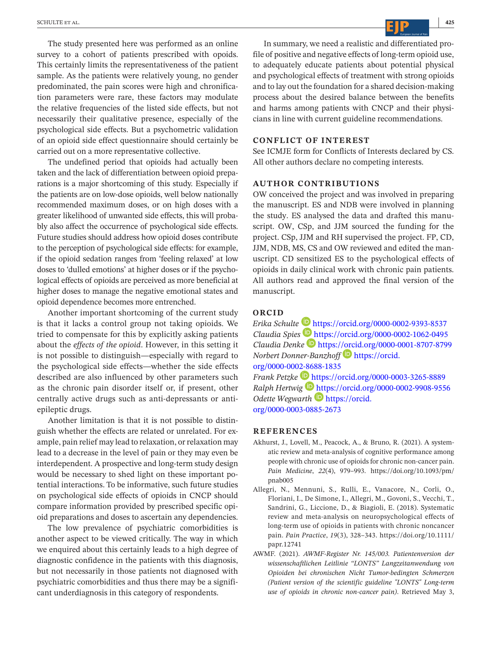The study presented here was performed as an online survey to a cohort of patients prescribed with opoids. This certainly limits the representativeness of the patient sample. As the patients were relatively young, no gender predominated, the pain scores were high and chronification parameters were rare, these factors may modulate the relative frequencies of the listed side effects, but not necessarily their qualitative presence, especially of the psychological side effects. But a psychometric validation of an opioid side effect questionnaire should certainly be carried out on a more representative collective.

The undefined period that opioids had actually been taken and the lack of differentiation between opioid preparations is a major shortcoming of this study. Especially if the patients are on low-dose opioids, well below nationally recommended maximum doses, or on high doses with a greater likelihood of unwanted side effects, this will probably also affect the occurrence of psychological side effects. Future studies should address how opioid doses contribute to the perception of psychological side effects: for example, if the opioid sedation ranges from 'feeling relaxed' at low doses to 'dulled emotions' at higher doses or if the psychological effects of opioids are perceived as more beneficial at higher doses to manage the negative emotional states and opioid dependence becomes more entrenched.

Another important shortcoming of the current study is that it lacks a control group not taking opioids. We tried to compensate for this by explicitly asking patients about the *effects of the opioid*. However, in this setting it is not possible to distinguish—especially with regard to the psychological side effects—whether the side effects described are also influenced by other parameters such as the chronic pain disorder itself or, if present, other centrally active drugs such as anti-depressants or antiepileptic drugs.

Another limitation is that it is not possible to distinguish whether the effects are related or unrelated. For example, pain relief may lead to relaxation, or relaxation may lead to a decrease in the level of pain or they may even be interdependent. A prospective and long-term study design would be necessary to shed light on these important potential interactions. To be informative, such future studies on psychological side effects of opioids in CNCP should compare information provided by prescribed specific opioid preparations and doses to ascertain any dependencies.

The low prevalence of psychiatric comorbidities is another aspect to be viewed critically. The way in which we enquired about this certainly leads to a high degree of diagnostic confidence in the patients with this diagnosis, but not necessarily in those patients not diagnosed with psychiatric comorbidities and thus there may be a significant underdiagnosis in this category of respondents.

In summary, we need a realistic and differentiated profile of positive and negative effects of long-term opioid use, to adequately educate patients about potential physical and psychological effects of treatment with strong opioids and to lay out the foundation for a shared decision-making process about the desired balance between the benefits and harms among patients with CNCP and their physicians in line with current guideline recommendations.

#### **CONFLICT OF INTEREST**

See ICMJE form for Conflicts of Interests declared by CS. All other authors declare no competing interests.

#### **AUTHOR CONTRIBUTIONS**

OW conceived the project and was involved in preparing the manuscript. ES and NDB were involved in planning the study. ES analysed the data and drafted this manuscript. OW, CSp, and JJM sourced the funding for the project. CSp, JJM and RH supervised the project. FP, CD, JJM, NDB, MS, CS and OW reviewed and edited the manuscript. CD sensitized ES to the psychological effects of opioids in daily clinical work with chronic pain patients. All authors read and approved the final version of the manuscript.

#### **ORCID**

*Erika Schulte* <https://orcid.org/0000-0002-9393-8537> *Claudia Spies* <https://orcid.org/0000-0002-1062-0495> *Claudia Denke* <https://orcid.org/0000-0001-8707-8799> *Norbert Donner-Banzhoff* **[https://orcid.](https://orcid.org/0000-0002-8688-1835)** [org/0000-0002-8688-1835](https://orcid.org/0000-0002-8688-1835) *Frank Petzke* <https://orcid.org/0000-0003-3265-8889> *Ralph Hertwig* **<https://orcid.org/0000-0002-9908-9556>** *Odette Wegwarth* **D** [https://orcid.](https://orcid.org/0000-0003-0885-2673)

[org/0000-0003-0885-2673](https://orcid.org/0000-0003-0885-2673)

#### **REFERENCES**

- Akhurst, J., Lovell, M., Peacock, A., & Bruno, R. (2021). A systematic review and meta-analysis of cognitive performance among people with chronic use of opioids for chronic non-cancer pain. *Pain Medicine*, *22*(4), 979–993. [https://doi.org/10.1093/pm/](https://doi.org/10.1093/pm/pnab005) [pnab005](https://doi.org/10.1093/pm/pnab005)
- Allegri, N., Mennuni, S., Rulli, E., Vanacore, N., Corli, O., Floriani, I., De Simone, I., Allegri, M., Govoni, S., Vecchi, T., Sandrini, G., Liccione, D., & Biagioli, E. (2018). Systematic review and meta-analysis on neuropsychological effects of long-term use of opioids in patients with chronic noncancer pain. *Pain Practice*, *19*(3), 328–343. [https://doi.org/10.1111/](https://doi.org/10.1111/papr.12741) [papr.12741](https://doi.org/10.1111/papr.12741)
- AWMF. (2021). *AWMF-Register Nr. 145/003. Patientenversion der wissenschaftlichen Leitlinie "LONTS" Langzeitanwendung von Opioiden bei chronischen Nicht Tumor-bedingten Schmerzen (Patient version of the scientific guideline "LONTS" Long-term use of opioids in chronic non-cancer pain)*. Retrieved May 3,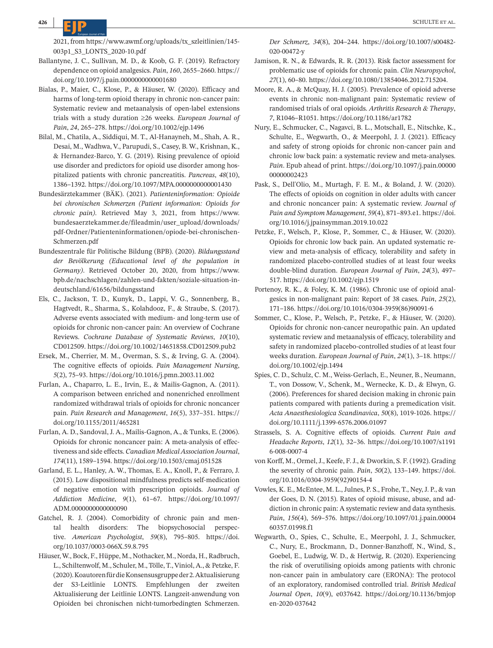2021, from [https://www.awmf.org/uploads/tx\\_szleitlinien/145-](https://www.awmf.org/uploads/tx_szleitlinien/145-003p1_S3_LONTS_2020-10.pdf) [003p1\\_S3\\_LONTS\\_2020-10.pdf](https://www.awmf.org/uploads/tx_szleitlinien/145-003p1_S3_LONTS_2020-10.pdf)

- Ballantyne, J. C., Sullivan, M. D., & Koob, G. F. (2019). Refractory dependence on opioid analgesics. *Pain*, *160*, 2655–2660. [https://](https://doi.org/10.1097/j.pain.0000000000001680) [doi.org/10.1097/j.pain.0000000000001680](https://doi.org/10.1097/j.pain.0000000000001680)
- Bialas, P., Maier, C., Klose, P., & Häuser, W. (2020). Efficacy and harms of long-term opioid therapy in chronic non-cancer pain: Systematic review and metaanalysis of open-label extensions trials with a study duration ≥26 weeks. *European Journal of Pain*, *24*, 265–278. <https://doi.org/10.1002/ejp.1496>
- Bilal, M., Chatila, A., Siddiqui, M. T., Al-Hanayneh, M., Shah, A. R., Desai, M., Wadhwa, V., Parupudi, S., Casey, B. W., Krishnan, K., & Hernandez-Barco, Y. G. (2019). Rising prevalence of opioid use disorder and predictors for opioid use disorder among hospitalized patients with chronic pancreatitis. *Pancreas*, *48*(10), 1386–1392. <https://doi.org/10.1097/MPA.0000000000001430>
- Bundesärztekammer (BÄK). (2021). *Patienteninformation: Opioide bei chronischen Schmerzen (Patient information: Opioids for chronic pain)*. Retrieved May 3, 2021, from [https://www.](https://www.bundesaerztekammer.de/fileadmin/user_upload/downloads/pdf-Ordner/Patienteninformationen/opiode-bei-chronischen-Schmerzen.pdf) [bundesaerztekammer.de/fileadmin/user\\_upload/downloads/](https://www.bundesaerztekammer.de/fileadmin/user_upload/downloads/pdf-Ordner/Patienteninformationen/opiode-bei-chronischen-Schmerzen.pdf) [pdf-Ordner/Patienteninformationen/opiode-bei-chronischen-](https://www.bundesaerztekammer.de/fileadmin/user_upload/downloads/pdf-Ordner/Patienteninformationen/opiode-bei-chronischen-Schmerzen.pdf)[Schmerzen.pdf](https://www.bundesaerztekammer.de/fileadmin/user_upload/downloads/pdf-Ordner/Patienteninformationen/opiode-bei-chronischen-Schmerzen.pdf)
- Bundeszentrale für Politische Bildung (BPB). (2020). *Bildungsstand der Bevölkerung (Educational level of the population in Germany)*. Retrieved October 20, 2020, from [https://www.](https://www.bpb.de/nachschlagen/zahlen-und-fakten/soziale-situation-in-deutschland/61656/bildungsstand) [bpb.de/nachschlagen/zahlen-und-fakten/soziale-situation-in](https://www.bpb.de/nachschlagen/zahlen-und-fakten/soziale-situation-in-deutschland/61656/bildungsstand)[deutschland/61656/bildungsstand](https://www.bpb.de/nachschlagen/zahlen-und-fakten/soziale-situation-in-deutschland/61656/bildungsstand)
- Els, C., Jackson, T. D., Kunyk, D., Lappi, V. G., Sonnenberg, B., Hagtvedt, R., Sharma, S., Kolahdooz, F., & Straube, S. (2017). Adverse events associated with medium- and long-term use of opioids for chronic non-cancer pain: An overview of Cochrane Reviews. *Cochrane Database of Systematic Reviews*, *10*(10), CD012509. <https://doi.org/10.1002/14651858.CD012509.pub2>
- Ersek, M., Cherrier, M. M., Overman, S. S., & Irving, G. A. (2004). The cognitive effects of opioids. *Pain Management Nursing*, *5*(2), 75–93. <https://doi.org/10.1016/j.pmn.2003.11.002>
- Furlan, A., Chaparro, L. E., Irvin, E., & Mailis-Gagnon, A. (2011). A comparison between enriched and nonenriched enrollment randomized withdrawal trials of opioids for chronic noncancer pain. *Pain Research and Management*, *16*(5), 337–351. [https://](https://doi.org/10.1155/2011/465281) [doi.org/10.1155/2011/465281](https://doi.org/10.1155/2011/465281)
- Furlan, A. D., Sandoval, J. A., Mailis-Gagnon, A., & Tunks, E. (2006). Opioids for chronic noncancer pain: A meta-analysis of effectiveness and side effects. *Canadian Medical Association Journal*, *174*(11), 1589–1594. <https://doi.org/10.1503/cmaj.051528>
- Garland, E. L., Hanley, A. W., Thomas, E. A., Knoll, P., & Ferraro, J. (2015). Low dispositional mindfulness predicts self-medication of negative emotion with prescription opioids. *Journal of Addiction Medicine*, *9*(1), 61–67. [https://doi.org/10.1097/](https://doi.org/10.1097/ADM.0000000000000090) [ADM.0000000000000090](https://doi.org/10.1097/ADM.0000000000000090)
- Gatchel, R. J. (2004). Comorbidity of chronic pain and mental health disorders: The biopsychosocial perspective. *American Psychologist*, *59*(8), 795–805. [https://doi.](https://doi.org/10.1037/0003-066X.59.8.795) [org/10.1037/0003-066X.59.8.795](https://doi.org/10.1037/0003-066X.59.8.795)
- Häuser, W., Bock, F., Hüppe, M., Nothacker, M., Norda, H., Radbruch, L., Schiltenwolf, M., Schuler, M., Tölle, T.,Viniol, A., & Petzke, F. (2020).KoautorenfürdieKonsensusgruppeder2.Aktualisierung der S3-Leitlinie LONTS. Empfehlungen der zweiten Aktualisierung der Leitlinie LONTS. Langzeit-anwendung von Opioiden bei chronischen nicht-tumorbedingten Schmerzen.

*Der Schmerz*, *34*(8), 204–244. [https://doi.org/10.1007/s00482-](https://doi.org/10.1007/s00482-020-00472-y) [020-00472-y](https://doi.org/10.1007/s00482-020-00472-y)

- Jamison, R. N., & Edwards, R. R. (2013). Risk factor assessment for problematic use of opioids for chronic pain. *Clin Neuropsychol*, *27*(1), 60–80. <https://doi.org/10.1080/13854046.2012.715204>.
- Moore, R. A., & McQuay, H. J. (2005). Prevalence of opioid adverse events in chronic non-malignant pain: Systematic review of randomised trials of oral opioids. *Arthritis Research & Therapy*, *7*, R1046–R1051. <https://doi.org/10.1186/ar1782>
- Nury, E., Schmucker, C., Nagavci, B. L., Motschall, E., Nitschke, K., Schulte, E., Wegwarth, O., & Meerpohl, J. J. (2021). Efficacy and safety of strong opioids for chronic non-cancer pain and chronic low back pain: a systematic review and meta-analyses. *Pain*. Epub ahead of print. [https://doi.org/10.1097/j.pain.00000](https://doi.org/10.1097/j.pain.0000000000002423) [00000002423](https://doi.org/10.1097/j.pain.0000000000002423)
- Pask, S., Dell'Olio, M., Murtagh, F. E. M., & Boland, J. W. (2020). The effects of opioids on cognition in older adults with cancer and chronic noncancer pain: A systematic review. *Journal of Pain and Symptom Management*, *59*(4), 871–893.e1. [https://doi.](https://doi.org/10.1016/j.jpainsymman.2019.10.022) [org/10.1016/j.jpainsymman.2019.10.022](https://doi.org/10.1016/j.jpainsymman.2019.10.022)
- Petzke, F., Welsch, P., Klose, P., Sommer, C., & Häuser, W. (2020). Opioids for chronic low back pain. An updated systematic review and meta-analysis of efficacy, tolerability and safety in randomized placebo-controlled studies of at least four weeks double-blind duration. *European Journal of Pain*, *24*(3), 497– 517. <https://doi.org/10.1002/ejp.1519>
- Portenoy, R. K., & Foley, K. M. (1986). Chronic use of opioid analgesics in non-malignant pain: Report of 38 cases. *Pain*, *25*(2), 171–186. [https://doi.org/10.1016/0304-3959\(86\)90091-6](https://doi.org/10.1016/0304-3959(86)90091-6)
- Sommer, C., Klose, P., Welsch, P., Petzke, F., & Häuser, W. (2020). Opioids for chronic non-cancer neuropathic pain. An updated systematic review and metaanalysis of efficacy, tolerability and safety in randomized placebo-controlled studies of at least four weeks duration. *European Journal of Pain*, *24*(1), 3–18. [https://](https://doi.org/10.1002/ejp.1494) [doi.org/10.1002/ejp.1494](https://doi.org/10.1002/ejp.1494)
- Spies, C. D., Schulz, C. M., Weiss-Gerlach, E., Neuner, B., Neumann, T., von Dossow, V., Schenk, M., Wernecke, K. D., & Elwyn, G. (2006). Preferences for shared decision making in chronic pain patients compared with patients during a premedication visit. *Acta Anaesthesiologica Scandinavica*, *50*(8), 1019-1026. [https://](https://doi.org/10.1111/j.1399-6576.2006.01097) [doi.org/10.1111/j.1399-6576.2006.01097](https://doi.org/10.1111/j.1399-6576.2006.01097)
- Strassels, S. A. Cognitive effects of opioids. *Current Pain and Headache Reports*, *12*(1), 32–36. [https://doi.org/10.1007/s1191](https://doi.org/10.1007/s11916-008-0007-4) [6-008-0007-4](https://doi.org/10.1007/s11916-008-0007-4)
- von Korff, M., Ormel, J., Keefe, F. J., & Dworkin, S. F. (1992). Grading the severity of chronic pain. *Pain*, *50*(2), 133–149. [https://doi.](https://doi.org/10.1016/0304-3959(92)90154-4) [org/10.1016/0304-3959\(92\)90154-4](https://doi.org/10.1016/0304-3959(92)90154-4)
- Vowles, K. E., McEntee, M. L.,Julnes, P. S., Frohe, T., Ney,J. P., & van der Goes, D. N. (2015). Rates of opioid misuse, abuse, and addiction in chronic pain: A systematic review and data synthesis. *Pain*, *156*(4), 569–576. [https://doi.org/10.1097/01.j.pain.00004](https://doi.org/10.1097/01.j.pain.0000460357.01998.f1) [60357.01998.f1](https://doi.org/10.1097/01.j.pain.0000460357.01998.f1)
- Wegwarth, O., Spies, C., Schulte, E., Meerpohl, J. J., Schmucker, C., Nury, E., Brockmann, D., Donner-Banzhoff, N., Wind, S., Goebel, E., Ludwig, W. D., & Hertwig, R. (2020). Experiencing the risk of overutilising opioids among patients with chronic non-cancer pain in ambulatory care (ERONA): The protocol of an exploratory, randomised controlled trial. *British Medical Journal Open*, *10*(9), e037642. [https://doi.org/10.1136/bmjop](https://doi.org/10.1136/bmjopen-2020-037642) [en-2020-037642](https://doi.org/10.1136/bmjopen-2020-037642)